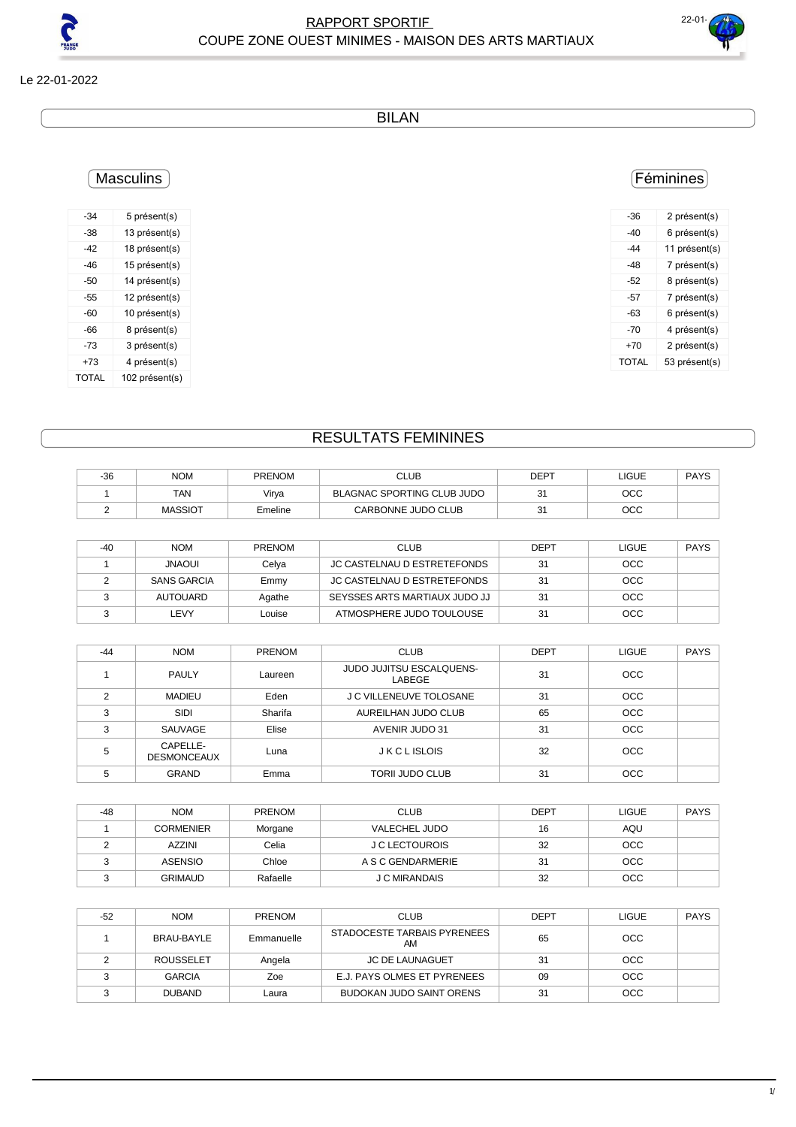

Le 22-01-2022

BILAN

# Masculins

| $-34$ | 5 présent(s)   |
|-------|----------------|
| -38   | 13 présent(s)  |
| -42   | 18 présent(s)  |
| -46   | 15 présent(s)  |
| -50   | 14 présent(s)  |
| -55   | 12 présent(s)  |
| -60   | 10 présent(s)  |
| -66   | 8 présent(s)   |
| -73   | 3 présent(s)   |
| +73   | 4 présent(s)   |
| TOTAL | 102 présent(s) |

### Féminines

| -36   | 2 présent(s)  |
|-------|---------------|
| -40   | 6 présent(s)  |
| -44   | 11 présent(s) |
| -48   | 7 présent(s)  |
| -52   | 8 présent(s)  |
| -57   | 7 présent(s)  |
| -63   | 6 présent(s)  |
| -70   | 4 présent(s)  |
| +70   | 2 présent(s)  |
| TOTAL | 53 présent(s) |

## RESULTATS FEMININES

| $-36$ | <b>NOM</b>     | <b>PRENOM</b> | CLUB                              | DEPT      | LIGUE | <b>PAYS</b> |
|-------|----------------|---------------|-----------------------------------|-----------|-------|-------------|
|       | <b>TAN</b>     | Virva         | <b>BLAGNAC SPORTING CLUB JUDO</b> | يە        | осс   |             |
|       | <b>MASSIOT</b> | Emeline       | CARBONNE JUDO CLUB                | n,<br>، ب | осс   |             |

| $-40$ | <b>NOM</b>         | <b>PRENOM</b> | <b>CLUB</b>                   | <b>DEPT</b> | LIGUE      | <b>PAYS</b> |
|-------|--------------------|---------------|-------------------------------|-------------|------------|-------------|
|       | <b>INAQUI</b>      | Celya         | JC CASTELNAU D ESTRETEFONDS   | 31          | <b>OCC</b> |             |
|       | <b>SANS GARCIA</b> | Emmy          | JC CASTELNAU D ESTRETEFONDS   | 31          | <b>OCC</b> |             |
|       | AUTOUARD           | Agathe        | SEYSSES ARTS MARTIAUX JUDO JJ | 31          | <b>OCC</b> |             |
|       | I FVY              | Louise        | ATMOSPHERE JUDO TOULOUSE      | 31          | <b>OCC</b> |             |

| $-44$ | <b>NOM</b>                     | <b>PRENOM</b> | <b>CLUB</b>                               | <b>DEPT</b> | <b>LIGUE</b> | <b>PAYS</b> |
|-------|--------------------------------|---------------|-------------------------------------------|-------------|--------------|-------------|
|       | <b>PAULY</b>                   | Laureen       | <b>JUDO JUJITSU ESCALQUENS-</b><br>LABEGE | 31          | <b>OCC</b>   |             |
| C     | <b>MADIEU</b>                  | Eden          | J C VILLENEUVE TOLOSANE                   | 31          | <b>OCC</b>   |             |
| 3     | SIDI                           | Sharifa       | AUREILHAN JUDO CLUB                       | 65          | <b>OCC</b>   |             |
| 3     | SAUVAGE                        | Elise         | AVENIR JUDO 31                            | 31          | <b>OCC</b>   |             |
| 5     | CAPELLE-<br><b>DESMONCEAUX</b> | Luna          | <b>JKCLISLOIS</b>                         | 32          | <b>OCC</b>   |             |
| 5     | GRAND                          | Emma          | <b>TORII JUDO CLUB</b>                    | 31          | <b>OCC</b>   |             |

| $-48$ | <b>NOM</b>       | <b>PRENOM</b> | <b>CLUB</b>           | <b>DEPT</b> | <b>LIGUE</b> | <b>PAYS</b> |
|-------|------------------|---------------|-----------------------|-------------|--------------|-------------|
|       | <b>CORMENIER</b> | Morgane       | VALECHEL JUDO         | 16          | AQU          |             |
|       | <b>AZZINI</b>    | Celia         | <b>J C LECTOUROIS</b> | 32          | <b>OCC</b>   |             |
|       | <b>ASENSIO</b>   | Chloe         | A S C GENDARMERIE     | 31          | <b>OCC</b>   |             |
|       | <b>GRIMAUD</b>   | Rafaelle      | J C MIRANDAIS         | 32          | <b>OCC</b>   |             |

| -52 | <b>NOM</b>    | <b>PRENOM</b> | CLUB                              | <b>DEPT</b> | <b>LIGUE</b> | <b>PAYS</b> |
|-----|---------------|---------------|-----------------------------------|-------------|--------------|-------------|
|     | BRAU-BAYLE    | Emmanuelle    | STADOCESTE TARBAIS PYRENEES<br>AM | 65          | <b>OCC</b>   |             |
|     | ROUSSELET     | Angela        | <b>JC DE LAUNAGUET</b>            | 31          | <b>OCC</b>   |             |
|     | <b>GARCIA</b> | Zoe           | E.J. PAYS OLMES ET PYRENEES       | 09          | <b>OCC</b>   |             |
|     | <b>DUBAND</b> | Laura         | <b>BUDOKAN JUDO SAINT ORENS</b>   | 31          | <b>OCC</b>   |             |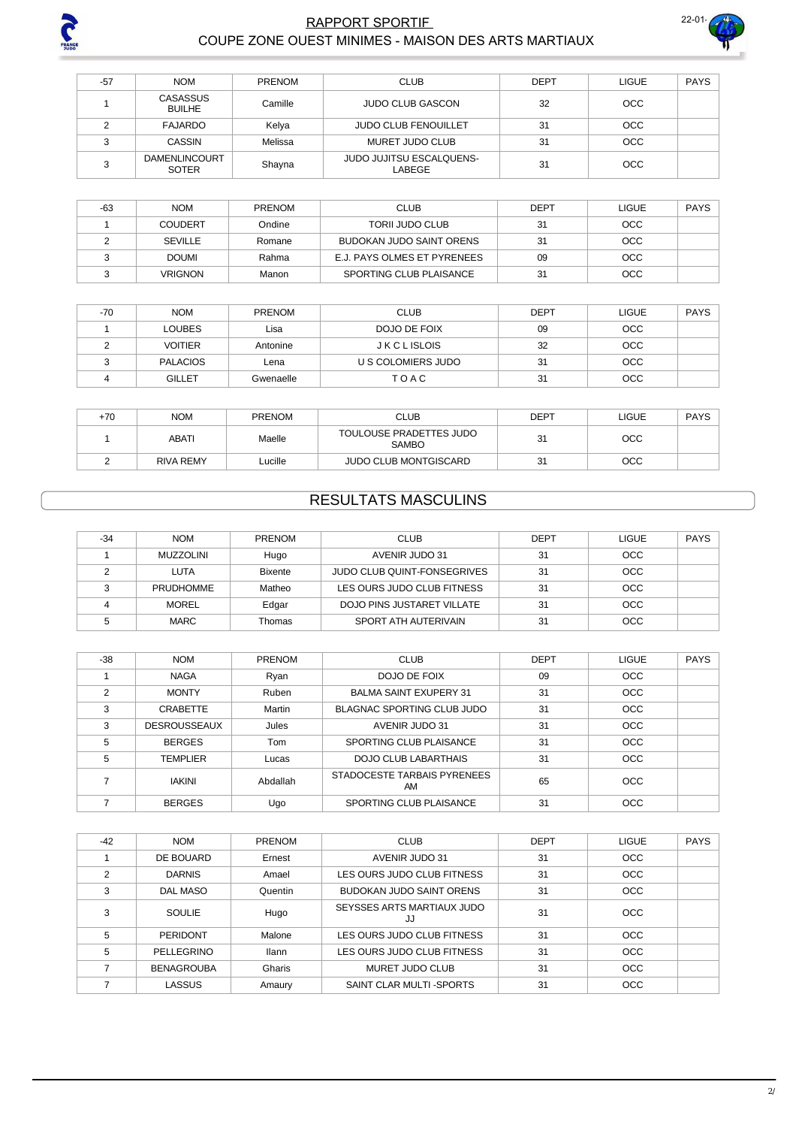

#### **RAPPORT SPORTIF** COUPE ZONE OUEST MINIMES - MAISON DES ARTS MARTIAUX



| $-57$ | <b>NOM</b>                           | <b>PRENOM</b> | <b>CLUB</b>                               | <b>DEPT</b> | LIGUE      | <b>PAYS</b> |
|-------|--------------------------------------|---------------|-------------------------------------------|-------------|------------|-------------|
|       | <b>CASASSUS</b><br><b>BUILHE</b>     | Camille       | <b>JUDO CLUB GASCON</b>                   | 32          | <b>OCC</b> |             |
|       | <b>FAJARDO</b>                       | Kelva         | <b>JUDO CLUB FENOUILLET</b>               | 31          | <b>OCC</b> |             |
| C     | <b>CASSIN</b>                        | Melissa       | MURET JUDO CLUB                           | 31          | OCC        |             |
| ົ     | <b>DAMENLINCOURT</b><br><b>SOTER</b> | Shayna        | <b>JUDO JUJITSU ESCALQUENS-</b><br>LABEGE | 31          | <b>OCC</b> |             |

| $-63$ | <b>NOM</b>     | <b>PRENOM</b> | <b>CLUB</b>                 | DEPT | <b>LIGUE</b> | <b>PAYS</b> |
|-------|----------------|---------------|-----------------------------|------|--------------|-------------|
|       | <b>COUDERT</b> | Ondine        | <b>TORII JUDO CLUB</b>      | 31   | <b>OCC</b>   |             |
|       | <b>SEVILLE</b> | Romane        | BUDOKAN JUDO SAINT ORENS    | 31   | <b>OCC</b>   |             |
|       | <b>DOUMI</b>   | Rahma         | E.J. PAYS OLMES ET PYRENEES | 09   | <b>OCC</b>   |             |
|       | <b>VRIGNON</b> | Manon         | SPORTING CLUB PLAISANCE     | 31   | <b>OCC</b>   |             |

| -70 | <b>NOM</b>     | <b>PRENOM</b> | <b>CLUB</b>        | <b>DEPT</b> | <b>LIGUE</b> | <b>PAYS</b> |
|-----|----------------|---------------|--------------------|-------------|--------------|-------------|
|     | LOUBES         | Lisa          | DOJO DE FOIX       | 09          | <b>OCC</b>   |             |
|     | <b>VOITIER</b> | Antonine      | <b>JKCLISLOIS</b>  | 32          | OCC          |             |
| ົ   | PALACIOS       | Lena          | U S COLOMIERS JUDO | 31          | <b>OCC</b>   |             |
|     | <b>GILLET</b>  | Gwenaelle     | TOAC               | 31          | <b>OCC</b>   |             |

| +70 | <b>NOM</b> | <b>PRENOM</b> | CLUB                                    | DEPT | LIGUE      | PAYS |
|-----|------------|---------------|-----------------------------------------|------|------------|------|
|     | ABATI      | Maelle        | TOULOUSE PRADETTES JUDO<br><b>SAMBO</b> | 31   | <b>OCC</b> |      |
|     | RIVA REMY  | _ucille       | <b>JUDO CLUB MONTGISCARD</b>            | 31   | OCC        |      |

## RESULTATS MASCULINS

| $-34$ | <b>NOM</b>       | <b>PRENOM</b>  | <b>CLUB</b>                        | <b>DEPT</b> | LIGUE      | PAYS |
|-------|------------------|----------------|------------------------------------|-------------|------------|------|
|       | MUZZOLINI        | Hugo           | AVENIR JUDO 31                     | 31          | <b>OCC</b> |      |
|       | <b>LUTA</b>      | <b>Bixente</b> | <b>JUDO CLUB QUINT-FONSEGRIVES</b> | 31          | <b>OCC</b> |      |
|       | <b>PRUDHOMME</b> | Matheo         | LES OURS JUDO CLUB FITNESS         | 31          | <b>OCC</b> |      |
|       | <b>MOREL</b>     | Edgar          | DOJO PINS JUSTARET VILLATE         | 31          | <b>OCC</b> |      |
|       | MARC             | Thomas         | SPORT ATH AUTERIVAIN               | 31          | <b>OCC</b> |      |

| $-38$ | <b>NOM</b>          | <b>PRENOM</b> | <b>CLUB</b>                       | <b>DEPT</b> | LIGUE      | <b>PAYS</b> |
|-------|---------------------|---------------|-----------------------------------|-------------|------------|-------------|
|       | <b>NAGA</b>         | Ryan          | DOJO DE FOIX                      | 09          | <b>OCC</b> |             |
| 2     | <b>MONTY</b>        | Ruben         | <b>BALMA SAINT EXUPERY 31</b>     | 31          | <b>OCC</b> |             |
| 3     | <b>CRABETTE</b>     | Martin        | BLAGNAC SPORTING CLUB JUDO        | 31          | <b>OCC</b> |             |
| 3     | <b>DESROUSSEAUX</b> | Jules         | AVENIR JUDO 31                    | 31          | <b>OCC</b> |             |
| 5     | <b>BERGES</b>       | Tom           | SPORTING CLUB PLAISANCE           | 31          | <b>OCC</b> |             |
| 5     | TEMPLIER            | Lucas         | DOJO CLUB LABARTHAIS              | 31          | <b>OCC</b> |             |
|       | <b>IAKINI</b>       | Abdallah      | STADOCESTE TARBAIS PYRENEES<br>AM | 65          | <b>OCC</b> |             |
|       | <b>BERGES</b>       | Ugo           | SPORTING CLUB PLAISANCE           | 31          | <b>OCC</b> |             |

| $-42$ | <b>NOM</b>        | <b>PRENOM</b> | <b>CLUB</b>                      | <b>DEPT</b> | LIGUE      | <b>PAYS</b> |
|-------|-------------------|---------------|----------------------------------|-------------|------------|-------------|
|       | DE BOUARD         | Ernest        | AVENIR JUDO 31                   | 31          | <b>OCC</b> |             |
| っ     | <b>DARNIS</b>     | Amael         | LES OURS JUDO CLUB FITNESS       | 31          | <b>OCC</b> |             |
| 3     | <b>DAL MASO</b>   | Quentin       | <b>BUDOKAN JUDO SAINT ORENS</b>  | 31          | <b>OCC</b> |             |
| 3     | SOULIE            | Hugo          | SEYSSES ARTS MARTIAUX JUDO<br>JJ | 31          | <b>OCC</b> |             |
| 5     | PERIDONT          | Malone        | LES OURS JUDO CLUB FITNESS       | 31          | <b>OCC</b> |             |
| 5     | PELLEGRINO        | <b>Ilann</b>  | LES OURS JUDO CLUB FITNESS       | 31          | <b>OCC</b> |             |
|       | <b>BENAGROUBA</b> | Gharis        | MURET JUDO CLUB                  | 31          | <b>OCC</b> |             |
|       | LASSUS            | Amaury        | SAINT CLAR MULTI-SPORTS          | 31          | OCC        |             |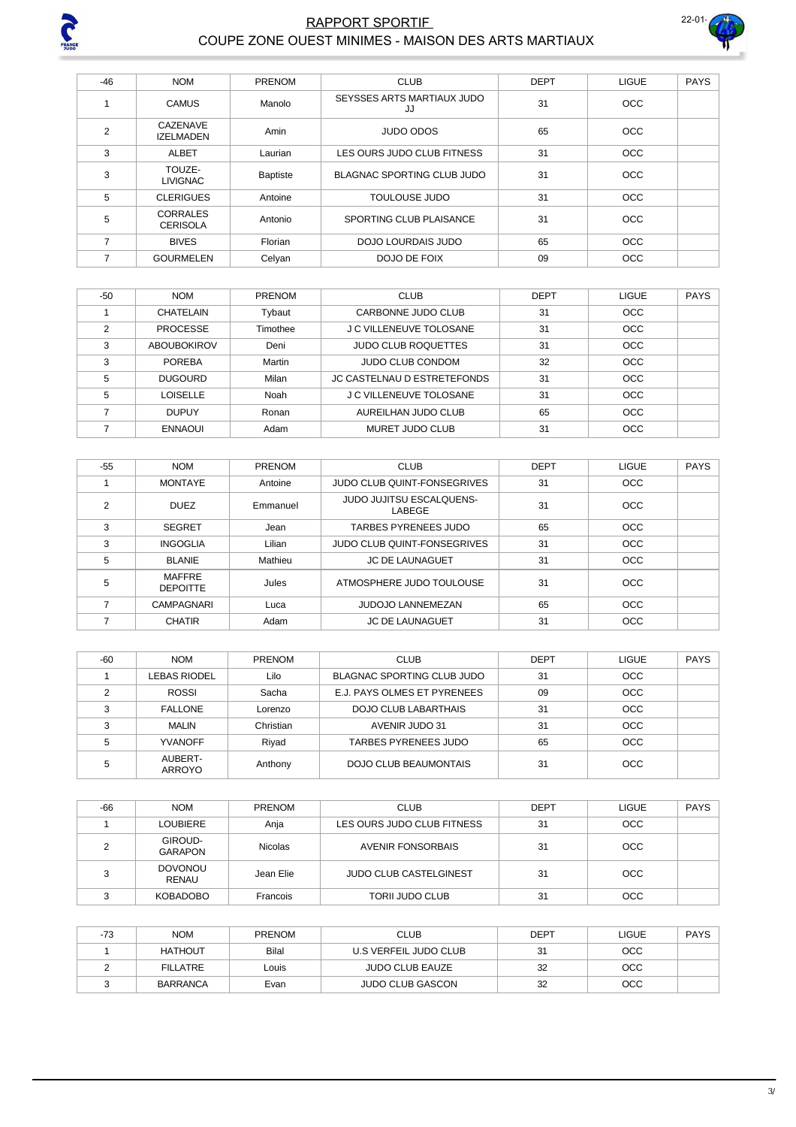

#### **RAPPORT SPORTIF** COUPE ZONE OUEST MINIMES - MAISON DES ARTS MARTIAUX



| $-46$          | <b>NOM</b>                   | <b>PRENOM</b>   | <b>CLUB</b>                       | <b>DEPT</b> | <b>LIGUE</b> | <b>PAYS</b> |
|----------------|------------------------------|-----------------|-----------------------------------|-------------|--------------|-------------|
|                | CAMUS                        | Manolo          | SEYSSES ARTS MARTIAUX JUDO<br>JJ  | 31          | <b>OCC</b>   |             |
| $\overline{2}$ | CAZENAVE<br><b>IZELMADEN</b> | Amin            | <b>JUDO ODOS</b>                  | 65          | <b>OCC</b>   |             |
| 3              | ALBET                        | Laurian         | LES OURS JUDO CLUB FITNESS        | 31          | <b>OCC</b>   |             |
| 3              | TOUZE-<br><b>LIVIGNAC</b>    | <b>Baptiste</b> | <b>BLAGNAC SPORTING CLUB JUDO</b> | 31          | <b>OCC</b>   |             |
| 5              | <b>CLERIGUES</b>             | Antoine         | <b>TOULOUSE JUDO</b>              | 31          | <b>OCC</b>   |             |
| 5              | CORRALES<br><b>CERISOLA</b>  | Antonio         | SPORTING CLUB PLAISANCE           | 31          | <b>OCC</b>   |             |
| $\overline{ }$ | <b>BIVES</b>                 | Florian         | DOJO LOURDAIS JUDO                | 65          | <b>OCC</b>   |             |
|                | <b>GOURMELEN</b>             | Celvan          | DOJO DE FOIX                      | 09          | <b>OCC</b>   |             |

| $-50$ | <b>NOM</b>         | <b>PRENOM</b> | <b>CLUB</b>                        | <b>DEPT</b> | <b>LIGUE</b> | <b>PAYS</b> |
|-------|--------------------|---------------|------------------------------------|-------------|--------------|-------------|
|       | CHATELAIN          | Tybaut        | CARBONNE JUDO CLUB                 | 31          | <b>OCC</b>   |             |
| າ     | PROCESSE           | Timothee      | J C VILLENEUVE TOLOSANE            | 31          | OCC          |             |
| 3     | <b>ABOUBOKIROV</b> | Deni          | <b>JUDO CLUB ROQUETTES</b>         | 31          | OCC          |             |
| 3     | <b>POREBA</b>      | Martin        | <b>JUDO CLUB CONDOM</b>            | 32          | <b>OCC</b>   |             |
| 5     | <b>DUGOURD</b>     | Milan         | <b>JC CASTELNAU D ESTRETEFONDS</b> | 31          | <b>OCC</b>   |             |
| 5     | <b>LOISELLE</b>    | Noah          | J C VILLENEUVE TOLOSANE            | 31          | <b>OCC</b>   |             |
|       | <b>DUPUY</b>       | Ronan         | AUREILHAN JUDO CLUB                | 65          | <b>OCC</b>   |             |
|       | <b>ENNAOUI</b>     | Adam          | MURET JUDO CLUB                    | 31          | <b>OCC</b>   |             |

| $-55$          | <b>NOM</b>                       | <b>PRENOM</b> | <b>CLUB</b>                               | <b>DEPT</b> | <b>LIGUE</b> | <b>PAYS</b> |
|----------------|----------------------------------|---------------|-------------------------------------------|-------------|--------------|-------------|
|                | <b>MONTAYE</b>                   | Antoine       | <b>JUDO CLUB QUINT-FONSEGRIVES</b>        | 31          | OCC          |             |
| $\overline{2}$ | <b>DUEZ</b>                      | Emmanuel      | <b>JUDO JUJITSU ESCALQUENS-</b><br>LABEGE | 31          | <b>OCC</b>   |             |
| 3              | <b>SEGRET</b>                    | Jean          | TARBES PYRENEES JUDO                      | 65          | <b>OCC</b>   |             |
| 3              | INGOGLIA                         | Lilian        | JUDO CLUB QUINT-FONSEGRIVES               | 31          | <b>OCC</b>   |             |
| 5              | <b>BLANIE</b>                    | Mathieu       | <b>JC DE LAUNAGUET</b>                    | 31          | <b>OCC</b>   |             |
| 5              | <b>MAFFRE</b><br><b>DEPOITTE</b> | Jules         | ATMOSPHERE JUDO TOULOUSE                  | 31          | <b>OCC</b>   |             |
|                | <b>CAMPAGNARI</b>                | Luca          | JUDOJO LANNEMEZAN                         | 65          | <b>OCC</b>   |             |
|                | <b>CHATIR</b>                    | Adam          | <b>JC DE LAUNAGUET</b>                    | 31          | <b>OCC</b>   |             |

| $-60$ | <b>NOM</b>        | <b>PRENOM</b> | <b>CLUB</b>                 | <b>DEPT</b> | <b>LIGUE</b> | <b>PAYS</b> |
|-------|-------------------|---------------|-----------------------------|-------------|--------------|-------------|
|       | LEBAS RIODEL      | Lilo          | BLAGNAC SPORTING CLUB JUDO  | 31          | <b>OCC</b>   |             |
|       | ROSSI             | Sacha         | E.J. PAYS OLMES ET PYRENEES | 09          | <b>OCC</b>   |             |
| ົ     | <b>FALLONE</b>    | Lorenzo       | DOJO CLUB LABARTHAIS        | 31          | <b>OCC</b>   |             |
| ົ     | MALIN             | Christian     | AVENIR JUDO 31              | 31          | <b>OCC</b>   |             |
|       | <b>YVANOFF</b>    | Rivad         | TARBES PYRENEES JUDO        | 65          | <b>OCC</b>   |             |
|       | AUBERT-<br>ARROYO | Anthony       | DOJO CLUB BEAUMONTAIS       | 31          | <b>OCC</b>   |             |

| $-66$ | <b>NOM</b>                | <b>PRENOM</b>  | <b>CLUB</b>                   | <b>DEPT</b> | <b>LIGUE</b> | PAYS |
|-------|---------------------------|----------------|-------------------------------|-------------|--------------|------|
|       | <b>LOUBIERE</b>           | Ania           | LES OURS JUDO CLUB FITNESS    | 31          | <b>OCC</b>   |      |
|       | GIROUD-<br><b>GARAPON</b> | <b>Nicolas</b> | AVENIR FONSORBAIS             | 31          | <b>OCC</b>   |      |
|       | <b>DOVONOU</b><br>RENAU   | Jean Elie      | <b>JUDO CLUB CASTELGINEST</b> | 31          | <b>OCC</b>   |      |
|       | <b>KOBADOBO</b>           | Francois       | <b>TORII JUDO CLUB</b>        | 31          | <b>OCC</b>   |      |

| $-73$ | <b>NOM</b>      | <b>PRENOM</b> | <b>CLUB</b>             | <b>DEPT</b> | <b>LIGUE</b> | PAYS |
|-------|-----------------|---------------|-------------------------|-------------|--------------|------|
|       | <b>HATHOUT</b>  | <b>Bilal</b>  | U.S VERFEIL JUDO CLUB   | 31          | <b>OCC</b>   |      |
|       | <b>FILLATRE</b> | Louis         | JUDO CLUB EAUZE         | 32          | <b>OCC</b>   |      |
|       | <b>BARRANCA</b> | Evan          | <b>JUDO CLUB GASCON</b> | 32          | <b>OCC</b>   |      |